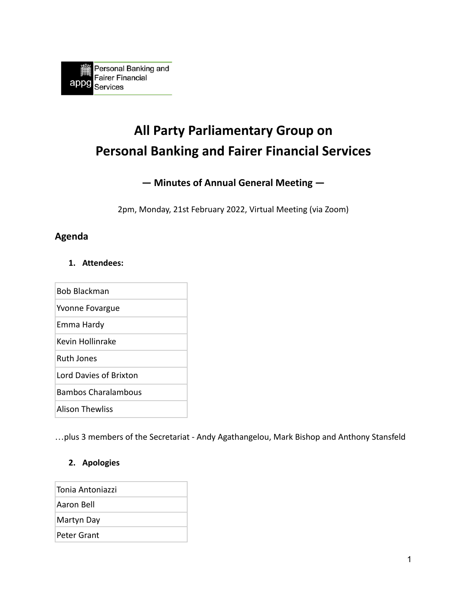# **All Party Parliamentary Group on Personal Banking and Fairer Financial Services**

# **— Minutes of Annual General Meeting —**

2pm, Monday, 21st February 2022, Virtual Meeting (via Zoom)

# **Agenda**

#### **1. Attendees:**

Bob Blackman Yvonne Fovargue Emma Hardy Kevin Hollinrake Ruth Jones Lord Davies of Brixton Bambos Charalambous Alison Thewliss

…plus 3 members of the Secretariat - Andy Agathangelou, Mark Bishop and Anthony Stansfeld

# **2. Apologies**

| Tonia Antoniazzi |
|------------------|
| Aaron Bell       |
| Martyn Day       |
| Peter Grant      |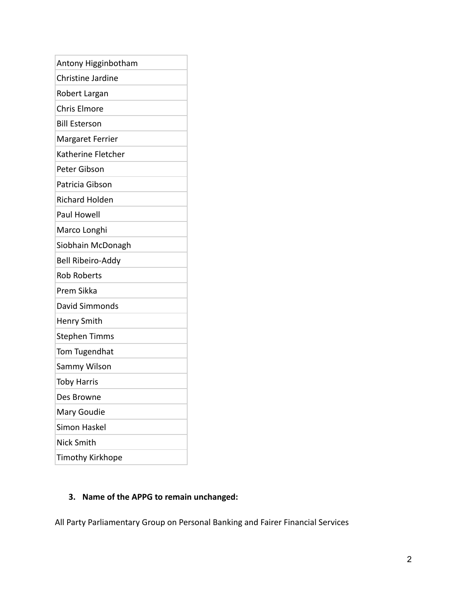| Antony Higginbotham      |
|--------------------------|
| Christine Jardine        |
| Robert Largan            |
| <b>Chris Elmore</b>      |
| <b>Bill Esterson</b>     |
| Margaret Ferrier         |
| Katherine Fletcher       |
| Peter Gibson             |
| Patricia Gibson          |
| <b>Richard Holden</b>    |
| Paul Howell              |
| Marco Longhi             |
| Siobhain McDonagh        |
| <b>Bell Ribeiro-Addy</b> |
| <b>Rob Roberts</b>       |
| Prem Sikka               |
| David Simmonds           |
| Henry Smith              |
| <b>Stephen Timms</b>     |
| Tom Tugendhat            |
| Sammy Wilson             |
| <b>Toby Harris</b>       |
| Des Browne               |
| Mary Goudie              |
| <b>Simon Haskel</b>      |
| Nick Smith               |
| <b>Timothy Kirkhope</b>  |

# **3. Name of the APPG to remain unchanged:**

All Party Parliamentary Group on Personal Banking and Fairer Financial Services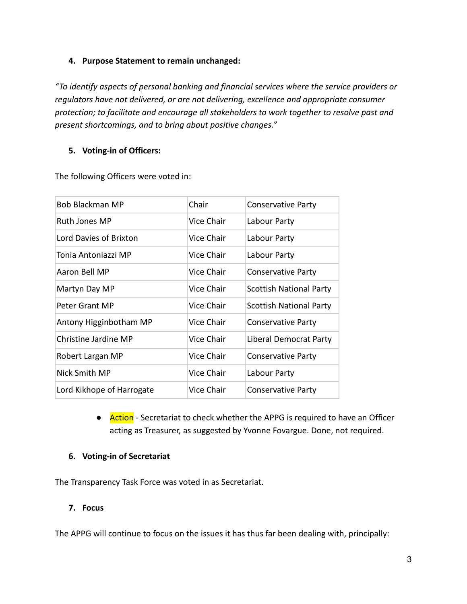## **4. Purpose Statement to remain unchanged:**

*"To identify aspects of personal banking and financial services where the service providers or regulators have not delivered, or are not delivering, excellence and appropriate consumer protection; to facilitate and encourage all stakeholders to work together to resolve past and present shortcomings, and to bring about positive changes."*

## **5. Voting-in of Officers:**

| <b>Bob Blackman MP</b>    | Chair      | <b>Conservative Party</b>      |
|---------------------------|------------|--------------------------------|
| Ruth Jones MP             | Vice Chair | Labour Party                   |
| Lord Davies of Brixton    | Vice Chair | Labour Party                   |
| Tonia Antoniazzi MP       | Vice Chair | Labour Party                   |
| Aaron Bell MP             | Vice Chair | <b>Conservative Party</b>      |
| Martyn Day MP             | Vice Chair | <b>Scottish National Party</b> |
| Peter Grant MP            | Vice Chair | <b>Scottish National Party</b> |
| Antony Higginbotham MP    | Vice Chair | <b>Conservative Party</b>      |
| Christine Jardine MP      | Vice Chair | Liberal Democrat Party         |
| Robert Largan MP          | Vice Chair | <b>Conservative Party</b>      |
| Nick Smith MP             | Vice Chair | Labour Party                   |
| Lord Kikhope of Harrogate | Vice Chair | <b>Conservative Party</b>      |

The following Officers were voted in:

● Action - Secretariat to check whether the APPG is required to have an Officer acting as Treasurer, as suggested by Yvonne Fovargue. Done, not required.

#### **6. Voting-in of Secretariat**

The Transparency Task Force was voted in as Secretariat.

#### **7. Focus**

The APPG will continue to focus on the issues it has thus far been dealing with, principally: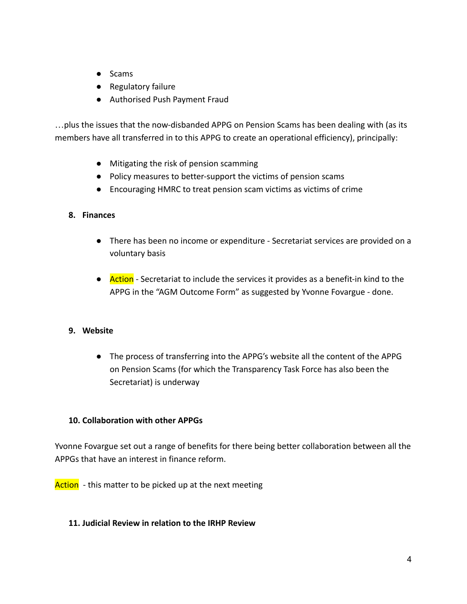- Scams
- Regulatory failure
- Authorised Push Payment Fraud

…plus the issues that the now-disbanded APPG on Pension Scams has been dealing with (as its members have all transferred in to this APPG to create an operational efficiency), principally:

- Mitigating the risk of pension scamming
- Policy measures to better-support the victims of pension scams
- Encouraging HMRC to treat pension scam victims as victims of crime

#### **8. Finances**

- There has been no income or expenditure Secretariat services are provided on a voluntary basis
- Action Secretariat to include the services it provides as a benefit-in kind to the APPG in the "AGM Outcome Form" as suggested by Yvonne Fovargue - done.

# **9. Website**

● The process of transferring into the APPG's website all the content of the APPG on Pension Scams (for which the Transparency Task Force has also been the Secretariat) is underway

# **10. Collaboration with other APPGs**

Yvonne Fovargue set out a range of benefits for there being better collaboration between all the APPGs that have an interest in finance reform.

Action - this matter to be picked up at the next meeting

# **11. Judicial Review in relation to the IRHP Review**